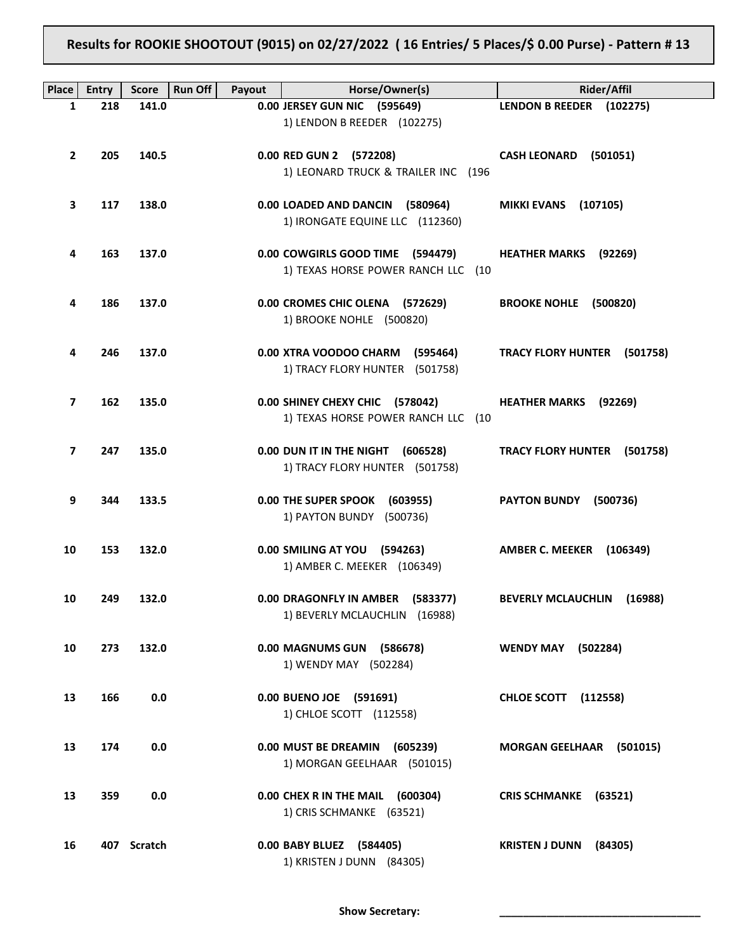## **Results for ROOKIE SHOOTOUT (9015) on 02/27/2022 ( 16 Entries/ 5 Places/\$ 0.00 Purse) - Pattern # 13**

| <b>Place</b> | <b>Entry</b> | <b>Run Off</b><br><b>Score</b> | Payout | Horse/Owner(s)                                                         | <b>Rider/Affil</b>                 |
|--------------|--------------|--------------------------------|--------|------------------------------------------------------------------------|------------------------------------|
| 1            | 218          | 141.0                          |        | 0.00 JERSEY GUN NIC (595649)                                           | LENDON B REEDER (102275)           |
|              |              |                                |        | 1) LENDON B REEDER (102275)                                            |                                    |
| $\mathbf{2}$ | 205          | 140.5                          |        | 0.00 RED GUN 2 (572208)<br>1) LEONARD TRUCK & TRAILER INC (196         | CASH LEONARD (501051)              |
| З            | 117          | 138.0                          |        | 0.00 LOADED AND DANCIN (580964)<br>1) IRONGATE EQUINE LLC (112360)     | <b>MIKKI EVANS (107105)</b>        |
| 4            | 163          | 137.0                          |        | 0.00 COWGIRLS GOOD TIME (594479)<br>1) TEXAS HORSE POWER RANCH LLC (10 | <b>HEATHER MARKS</b> (92269)       |
| 4            | 186          | 137.0                          |        | 0.00 CROMES CHIC OLENA (572629)<br>1) BROOKE NOHLE (500820)            | BROOKE NOHLE (500820)              |
| 4            | 246          | 137.0                          |        | 0.00 XTRA VOODOO CHARM (595464)<br>1) TRACY FLORY HUNTER (501758)      | TRACY FLORY HUNTER (501758)        |
| 7            | 162          | 135.0                          |        | 0.00 SHINEY CHEXY CHIC (578042)<br>1) TEXAS HORSE POWER RANCH LLC (10  | <b>HEATHER MARKS</b><br>(92269)    |
| 7            | 247          | 135.0                          |        | 0.00 DUN IT IN THE NIGHT (606528)<br>1) TRACY FLORY HUNTER (501758)    | TRACY FLORY HUNTER (501758)        |
| 9            | 344          | 133.5                          |        | 0.00 THE SUPER SPOOK (603955)<br>1) PAYTON BUNDY (500736)              | PAYTON BUNDY (500736)              |
| 10           | 153          | 132.0                          |        | 0.00 SMILING AT YOU (594263)<br>1) AMBER C. MEEKER (106349)            | AMBER C. MEEKER (106349)           |
| 10           | 249          | 132.0                          |        | 0.00 DRAGONFLY IN AMBER (583377)<br>1) BEVERLY MCLAUCHLIN (16988)      | <b>BEVERLY MCLAUCHLIN (16988)</b>  |
| 10           | 273          | 132.0                          |        | 0.00 MAGNUMS GUN (586678)<br>1) WENDY MAY (502284)                     | <b>WENDY MAY</b><br>(502284)       |
| 13           | 166          | 0.0                            |        | 0.00 BUENO JOE (591691)<br>1) CHLOE SCOTT (112558)                     | <b>CHLOE SCOTT</b> (112558)        |
| 13           | 174          | 0.0                            |        | 0.00 MUST BE DREAMIN<br>(605239)<br>1) MORGAN GEELHAAR (501015)        | <b>MORGAN GEELHAAR</b><br>(501015) |
| 13           | 359          | 0.0                            |        | 0.00 CHEX R IN THE MAIL (600304)<br>1) CRIS SCHMANKE (63521)           | CRIS SCHMANKE (63521)              |
| 16           |              | 407 Scratch                    |        | 0.00 BABY BLUEZ (584405)<br>1) KRISTEN J DUNN (84305)                  | <b>KRISTEN J DUNN</b><br>(84305)   |